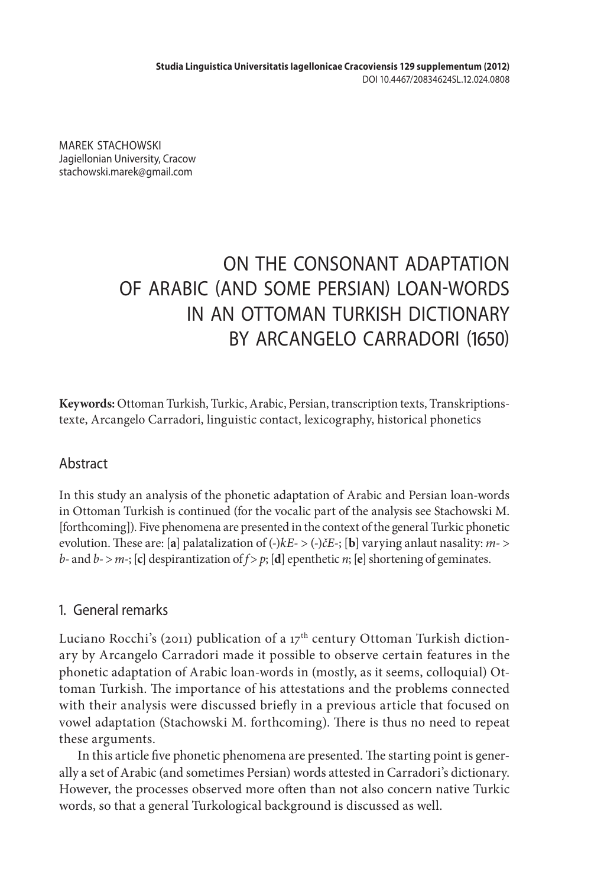MAREK STACHOWSKI Jagiellonian University, Cracow stachowski.marek@gmail.com

# ON THE CONSONANT ADAPTATION OF ARABIC (AND SOME PERSIAN) LOAN-WORDS IN AN OTTOMAN TURKISH DICTIONARY BY ARCANGELO CARRADORI (1650)

**Keywords:** Ottoman Turkish, Turkic, Arabic, Persian, transcription texts, Transkriptionstexte, Arcangelo Carradori, linguistic contact, lexicography, historical phonetics

# Abstract

In this study an analysis of the phonetic adaptation of Arabic and Persian loan-words in Ottoman Turkish is continued (for the vocalic part of the analysis see Stachowski M. [forthcoming]). Five phenomena are presented in the context of the general Turkic phonetic evolution. These are: [**a**] palatalization of (*-*)*kE*- > (*-*)*čE-*; [**b**] varying anlaut nasality: *m-* > *b-* and *b-* > *m-*; [**c**] despirantization of *f* > *p*; [**d**] epenthetic *n*; [**e**] shortening of geminates.

# 1. General remarks

Luciano Rocchi's (2011) publication of a 17<sup>th</sup> century Ottoman Turkish dictionary by Arcangelo Carradori made it possible to observe certain features in the phonetic adaptation of Arabic loan-words in (mostly, as it seems, colloquial) Ottoman Turkish. The importance of his attestations and the problems connected with their analysis were discussed briefly in a previous article that focused on vowel adaptation (Stachowski M. forthcoming). There is thus no need to repeat these arguments.

In this article five phonetic phenomena are presented. The starting point is generally a set of Arabic (and sometimes Persian) words attested in Carradori's dictionary. However, the processes observed more often than not also concern native Turkic words, so that a general Turkological background is discussed as well.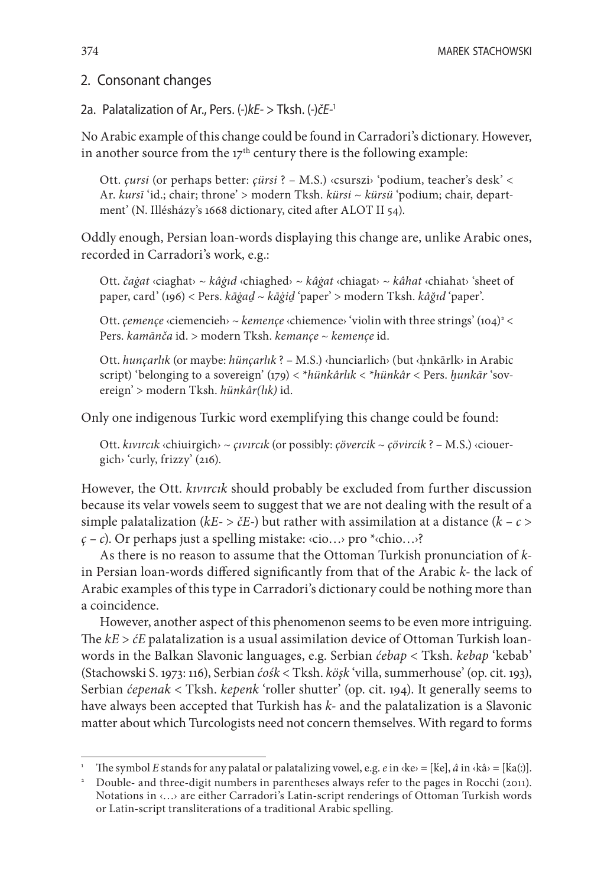374 MAREK STACHOWSKI

## 2. Consonant changes

2a. Palatalization of Ar., Pers. (*-*)*kE-* > Tksh. (*-*)*čE-*<sup>1</sup>

No Arabic example of this change could be found in Carradori's dictionary. However, in another source from the  $17<sup>th</sup>$  century there is the following example:

Ott. *çursi* (or perhaps better: *çürsi* ? – M.S.) ‹csurszi› 'podium, teacher's desk' < Ar. *kursī* 'id.; chair; throne' > modern Tksh. *kürsi* ~ *kürsü* 'podium; chair, department' (N. Illésházy's 1668 dictionary, cited after ALOT II 54).

Oddly enough, Persian loan-words displaying this change are, unlike Arabic ones, recorded in Carradori's work, e.g.:

Ott. *čaġat* ‹ciaghat› ~ *kâġıd* ‹chiaghed› ~ *kâġat* ‹chiagat› ~ *kâhat* ‹chiahat› 'sheet of paper, card' (196) < Pers. *kāġaḏ* ~ *kāġiḏ* 'paper' > modern Tksh. *kâğıd* 'paper'.

Ott. *çemençe* «ciemencieh» ~ *kemençe* «chiemence» 'violin with three strings' (104)<sup>2</sup> < Pers. *kamānča* id. > modern Tksh. *kemançe* ~ *kemençe* id.

Ott. *hunçarlık* (or maybe: *hünçarlık* ? – M.S.) ‹hunciarlich› (but ‹ḥnkārlk› in Arabic script) 'belonging to a sovereign' (179) < \**hünkârlık* < \**hünkâr* < Pers. *ḫunkār* 'sovereign' > modern Tksh. *hünkâr(lık)* id.

Only one indigenous Turkic word exemplifying this change could be found:

Ott. *kıvırcık* ‹chiuirgich› ~ *çıvırcık* (or possibly: *çövercik* ~ *çövircik* ? – M.S.) ‹ciouergich› 'curly, frizzy' (216).

However, the Ott. *kıvırcık* should probably be excluded from further discussion because its velar vowels seem to suggest that we are not dealing with the result of a simple palatalization ( $kE$ -  $\geq$   $\geq$   $E$ -) but rather with assimilation at a distance ( $k - c$  >  $\zeta$  – c). Or perhaps just a spelling mistake: *cio...* pro \**chio...*<sup>2</sup>

As there is no reason to assume that the Ottoman Turkish pronunciation of *k*in Persian loan-words differed significantly from that of the Arabic *k-* the lack of Arabic examples of this type in Carradori's dictionary could be nothing more than a coincidence.

However, another aspect of this phenomenon seems to be even more intriguing. The *kE* > *ćE* palatalization is a usual assimilation device of Ottoman Turkish loanwords in the Balkan Slavonic languages, e.g. Serbian *ćebap* < Tksh. *kebap* 'kebab' (Stachowski S. 1973: 116), Serbian *ćośk* < Tksh. *köşk* 'villa, summerhouse' (op. cit. 193), Serbian *ćepenak* < Tksh. *kepenk* 'roller shutter' (op. cit. 194). It generally seems to have always been accepted that Turkish has *k-* and the palatalization is a Slavonic matter about which Turcologists need not concern themselves. With regard to forms

The symbol *E* stands for any palatal or palatalizing vowel, e.g.  $e$  in  $\langle$ ke $\rangle$  = [ke],  $\hat{a}$  in  $\langle$ kâ $\rangle$  = [ka(:)].

<sup>&</sup>lt;sup>2</sup> Double- and three-digit numbers in parentheses always refer to the pages in Rocchi (2011). Notations in ‹…› are either Carradori's Latin-script renderings of Ottoman Turkish words or Latin-script transliterations of a traditional Arabic spelling.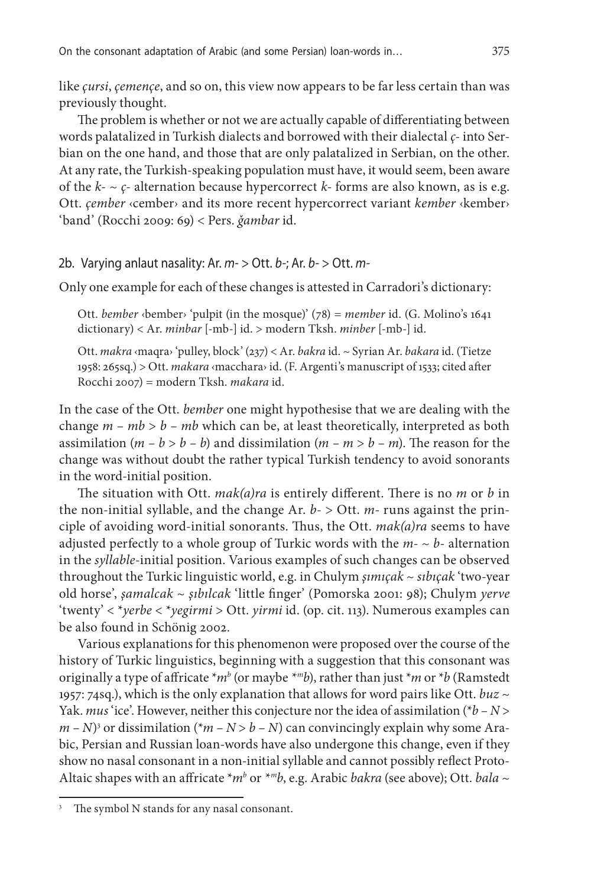like *çursi*, *çemençe*, and so on, this view now appears to be far less certain than was previously thought.

The problem is whether or not we are actually capable of differentiating between words palatalized in Turkish dialects and borrowed with their dialectal *ç-* into Serbian on the one hand, and those that are only palatalized in Serbian, on the other. At any rate, the Turkish-speaking population must have, it would seem, been aware of the  $k - \varphi$ - alternation because hypercorrect  $k$ - forms are also known, as is e.g. Ott. *çember* ‹cember› and its more recent hypercorrect variant *kember* ‹kember› 'band' (Rocchi 2009: 69) < Pers. *ǧambar* id.

#### 2b. Varying anlaut nasality: Ar. *m-* > Ott. *b-*; Ar. *b-* > Ott. *m-*

Only one example for each of these changes is attested in Carradori's dictionary:

Ott. *bember* ‹bember› 'pulpit (in the mosque)' (78) = *member* id. (G. Molino's 1641 dictionary) < Ar. *minbar* [-mb-] id. > modern Tksh. *minber* [-mb-] id.

Ott. *makra* ‹maqra› 'pulley, block' (237) < Ar. *bakra* id. ~ Syrian Ar. *bakara* id. (Tietze 1958: 265sq.) > Ott. *makara* ‹macchara› id. (F. Argenti's manuscript of 1533; cited after Rocchi 2007) = modern Tksh. *makara* id.

In the case of the Ott. *bember* one might hypothesise that we are dealing with the change  $m - mb > b - mb$  which can be, at least theoretically, interpreted as both assimilation  $(m - b > b - b)$  and dissimilation  $(m - m > b - m)$ . The reason for the change was without doubt the rather typical Turkish tendency to avoid sonorants in the word-initial position.

The situation with Ott. *mak(a)ra* is entirely different. There is no *m* or *b* in the non-initial syllable, and the change Ar. *b-* > Ott. *m-* runs against the principle of avoiding word-initial sonorants. Thus, the Ott. *mak(a)ra* seems to have adjusted perfectly to a whole group of Turkic words with the  $m - \sim b$ - alternation in the *syllable*-initial position. Various examples of such changes can be observed throughout the Turkic linguistic world, e.g. in Chulym *şımıçak* ~ *sıbıçak* 'two-year old horse', *şamalcak* ~ *şıbılcak* 'little finger' (Pomorska 2001: 98); Chulym *yerve* 'twenty' < \**yerbe* < \**yegirmi* > Ott. *yirmi* id. (op. cit. 113). Numerous examples can be also found in Schönig 2002.

Various explanations for this phenomenon were proposed over the course of the history of Turkic linguistics, beginning with a suggestion that this consonant was originally a type of affricate \**mb* (or maybe *\*mb*), rather than just \**m* or \**b* (Ramstedt 1957: 74sq.), which is the only explanation that allows for word pairs like Ott. *buz* ~ Yak. *mus* 'ice'. However, neither this conjecture nor the idea of assimilation (\**b – N* >  $(m - N)^3$  or dissimilation (\* $m - N > b - N$ ) can convincingly explain why some Arabic, Persian and Russian loan-words have also undergone this change, even if they show no nasal consonant in a non-initial syllable and cannot possibly reflect Proto-Altaic shapes with an affricate \**mb* or *\*mb*, e.g. Arabic *bakra* (see above); Ott. *bala* ~

The symbol N stands for any nasal consonant.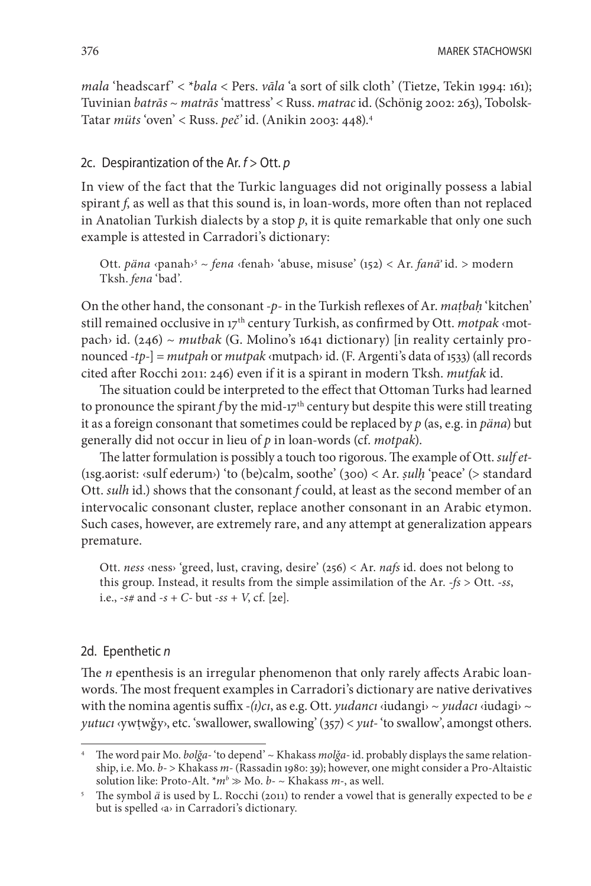*mala* 'headscarf' < \**bala* < Pers. *vāla* 'a sort of silk cloth' (Tietze, Tekin 1994: 161); Tuvinian *batrās* ~ *matrās* 'mattress' < Russ. *matrac* id. (Schönig 2002: 263), Tobolsk-Tatar *müts* 'oven' < Russ. *peč'* id. (Anikin 2003: 448).4

## 2c. Despirantization of the Ar. *f* > Ott. *p*

In view of the fact that the Turkic languages did not originally possess a labial spirant *f*, as well as that this sound is, in loan-words, more often than not replaced in Anatolian Turkish dialects by a stop *p*, it is quite remarkable that only one such example is attested in Carradori's dictionary:

Ott. *päna* ‹panah›5 ~ *fena* ‹fenah› 'abuse, misuse' (152) < Ar. *fanāʾ* id. > modern Tksh. *fena* 'bad'.

On the other hand, the consonant *-p-* in the Turkish reflexes of Ar. *maṭbaḥ* 'kitchen' still remained occlusive in 17th century Turkish, as confirmed by Ott. *motpak* ‹motpach› id. (246) ~ *mutbak* (G. Molino's 1641 dictionary) [in reality certainly pronounced *-tp-*] = *mutpah* or *mutpak* ‹mutpach› id. (F. Argenti's data of 1533) (all records cited after Rocchi 2011: 246) even if it is a spirant in modern Tksh. *mutfak* id.

The situation could be interpreted to the effect that Ottoman Turks had learned to pronounce the spirant *f* by the mid-17<sup>th</sup> century but despite this were still treating it as a foreign consonant that sometimes could be replaced by *p* (as, e.g. in *päna*) but generally did not occur in lieu of *p* in loan-words (cf. *motpak*).

The latter formulation is possibly a touch too rigorous. The example of Ott. *sulf et-* (1sg.aorist: ‹sulf ederum›) 'to (be)calm, soothe' (300) < Ar. *ṣulḥ* 'peace' (> standard Ott. *sulh* id.) shows that the consonant *f* could, at least as the second member of an intervocalic consonant cluster, replace another consonant in an Arabic etymon. Such cases, however, are extremely rare, and any attempt at generalization appears premature.

Ott. *ness* ‹ness› 'greed, lust, craving, desire' (256) < Ar. *nafs* id. does not belong to this group. Instead, it results from the simple assimilation of the Ar. *-fs* > Ott. *-ss*, i.e., *-s#* and *-s + C-* but *-ss + V*, cf. [2e].

#### 2d. Epenthetic *n*

The *n* epenthesis is an irregular phenomenon that only rarely affects Arabic loanwords. The most frequent examples in Carradori's dictionary are native derivatives with the nomina agentis suffix  $-(i)c_i$ , as e.g. Ott. *yudancı*  $\langle$ iudangi $\rangle \sim \gamma$ *udacı*  $\langle$ iudagi $\rangle \sim$ *yutucı* ‹ywṭwǧy›, etc. 'swallower, swallowing' (357) < *yut-* 'to swallow', amongst others.

<sup>4</sup> The word pair Mo. *bolǧa-* 'to depend' ~ Khakass *molǧa-* id. probably displays the same relationship, i.e. Mo. *b-* > Khakass *m-* (Rassadin 1980: 39); however, one might consider a Pro-Altaistic solution like: Proto-Alt. \**mb* >> Mo. *b-* ~ Khakass *m-*, as well.

<sup>5</sup> The symbol *ä* is used by L. Rocchi (2011) to render a vowel that is generally expected to be *e* but is spelled ‹a› in Carradori's dictionary.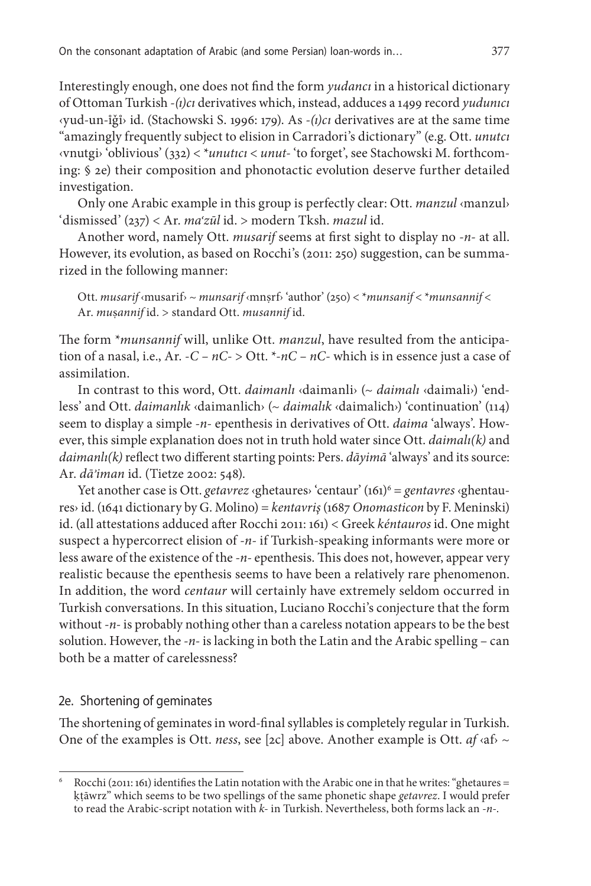Interestingly enough, one does not find the form *yudancı* in a historical dictionary of Ottoman Turkish *-(ı)cı* derivatives which, instead, adduces a 1499 record *yudunıcı* ‹yud-un-ǧ› id. (Stachowski S. 1996: 179). As *-(ı)cı* derivatives are at the same time "amazingly frequently subject to elision in Carradori's dictionary" (e.g. Ott. *unutcı* ‹vnutgi› 'oblivious' (332) < \**unutıcı* < *unut-* 'to forget', see Stachowski M. forthcoming: § 2e) their composition and phonotactic evolution deserve further detailed investigation.

Only one Arabic example in this group is perfectly clear: Ott. *manzul* ‹manzul› 'dismissed' (237) < Ar. *ma<sup>ʿ</sup> zūl* id. > modern Tksh. *mazul* id.

Another word, namely Ott. *musarif* seems at first sight to display no *-n-* at all. However, its evolution, as based on Rocchi's (2011: 250) suggestion, can be summarized in the following manner:

Ott. *musarif* ‹musarif› ~ *munsarif* ‹mnṣrf› 'author' (250) < \**munsanif* < \**munsannif* < Ar. *mu*ṣ*annif* id. > standard Ott. *musannif* id.

The form \**munsannif* will, unlike Ott. *manzul*, have resulted from the anticipation of a nasal, i.e., Ar. *-C – nC-* > Ott. \**-nC – nC-* which is in essence just a case of assimilation.

In contrast to this word, Ott. *daimanlı* ‹daimanli› (~ *daimalı* ‹daimali›) 'endless' and Ott. *daimanlık* ‹daimanlich› (~ *daimalık* ‹daimalich›) 'continuation' (114) seem to display a simple *-n-* epenthesis in derivatives of Ott. *daima* 'always'. However, this simple explanation does not in truth hold water since Ott. *daimalı(k)* and *daimanlı(k)* reflect two different starting points: Pers. *dāyimā* 'always' and its source: Ar. *dā<sup>ʾ</sup> iman* id. (Tietze 2002: 548).

Yet another case is Ott. *getavrez* ‹ghetaures› 'centaur' (161)6 = *gentavres* ‹ghentaures› id. (1641 dictionary by G. Molino) = *kentavriş* (1687 *Onomasticon* by F. Meninski) id. (all attestations adduced after Rocchi 2011: 161) < Greek *kéntauros* id. One might suspect a hypercorrect elision of *-n-* if Turkish-speaking informants were more or less aware of the existence of the *-n-* epenthesis. This does not, however, appear very realistic because the epenthesis seems to have been a relatively rare phenomenon. In addition, the word *centaur* will certainly have extremely seldom occurred in Turkish conversations. In this situation, Luciano Rocchi's conjecture that the form without *-n*- is probably nothing other than a careless notation appears to be the best solution. However, the *-n-* is lacking in both the Latin and the Arabic spelling – can both be a matter of carelessness?

## 2e. Shortening of geminates

The shortening of geminates in word-final syllables is completely regular in Turkish. One of the examples is Ott. *ness*, see [2c] above. Another example is Ott. *af* ‹af› ~

<sup>6</sup> Rocchi (2011: 161) identifies the Latin notation with the Arabic one in that he writes: "ghetaures = ḳṭāwrz" which seems to be two spellings of the same phonetic shape *getavrez*. I would prefer to read the Arabic-script notation with *k-* in Turkish. Nevertheless, both forms lack an *-n-*.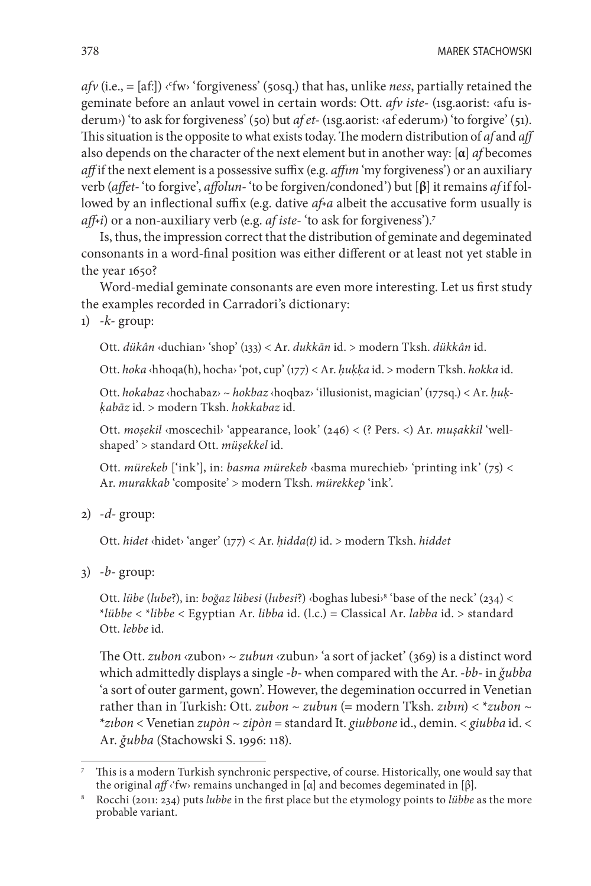*afv* (i.e., = [af:]) ‹<sup>c</sup>fw› 'forgiveness' (50sq.) that has, unlike *ness*, partially retained the geminate before an anlaut vowel in certain words: Ott. *afv iste-* (1sg.aorist: ‹afu isderum›) 'to ask for forgiveness' (50) but *af et-* (1sg.aorist: ‹af ederum›) 'to forgive' (51). This situation is the opposite to what exists today. The modern distribution of *af* and *aff* also depends on the character of the next element but in another way: [**α**] *af* becomes *aff* if the next element is a possessive suffix (e.g. *affım* 'my forgiveness') or an auxiliary verb (*affet-* 'to forgive', *affolun-* 'to be forgiven/condoned') but [**β**] it remains *af* if followed by an inflectional suffix (e.g. dative af<sup>+</sup>a albeit the accusative form usually is *aff*<sup>*i*</sup>) or a non-auxiliary verb (e.g. *af iste-* 'to ask for forgiveness').<sup>7</sup>

Is, thus, the impression correct that the distribution of geminate and degeminated consonants in a word-final position was either different or at least not yet stable in the year 1650?

Word-medial geminate consonants are even more interesting. Let us first study the examples recorded in Carradori's dictionary:

1) *-k-* group:

Ott. *dükân* ‹duchian› 'shop' (133) < Ar. *dukkān* id. > modern Tksh. *dükkân* id.

Ott. *hoka* ‹hhoqa(h), hocha› 'pot, cup' (177) < Ar. *ḥuḳḳa* id. > modern Tksh. *hokka* id.

Ott. *hokabaz* ‹hochabaz› ~ *hokbaz* ‹hoqbaz› 'illusionist, magician' (177sq.) < Ar. *ḥuḳḳabāz* id. > modern Tksh. *hokkabaz* id.

Ott. *moşekil* ‹moscechil› 'appearance, look' (246) < (? Pers. <) Ar. *muşakkil* 'wellshaped' > standard Ott. *müşekkel* id.

Ott. *mürekeb* ['ink'], in: *basma mürekeb* ‹basma murechieb› 'printing ink' (75) < Ar. *murakkab* 'composite' > modern Tksh. *mürekkep* 'ink'.

2) *-d-* group:

Ott. *hidet* ‹hidet› 'anger' (177) < Ar. *ḥidda(t)* id. > modern Tksh. *hiddet*

3) *-b-* group:

Ott. *lübe* (*lube*?), in: *boğaz lübesi* (*lubesi*?) ‹boghas lubesi›8 'base of the neck' (234) < \**lübbe* < \**libbe* < Egyptian Ar. *libba* id. (l.c.) = Classical Ar. *labba* id. > standard Ott. *lebbe* id.

The Ott. *zubon* ‹zubon› ~ *zubun* ‹zubun› 'a sort of jacket' (369) is a distinct word which admittedly displays a single *-b-* when compared with the Ar. *-bb-* in *ǧubba* 'a sort of outer garment, gown'. However, the degemination occurred in Venetian rather than in Turkish: Ott. *zubon* ~ *zubun* (= modern Tksh. *zıbın*) < \**zubon* ~ \**zıbon* < Venetian *zupòn* ~ *zipòn* = standard It. *giubbone* id., demin. < *giubba* id. < Ar. *ǧubba* (Stachowski S. 1996: 118).

<sup>&</sup>lt;sup>7</sup> This is a modern Turkish synchronic perspective, of course. Historically, one would say that the original  $a\mathbf{f} \left\langle \text{fw} \right\rangle$  remains unchanged in [ $\alpha$ ] and becomes degeminated in [ $\beta$ ].

<sup>&</sup>lt;sup>8</sup> Rocchi (2011: 234) puts *lubbe* in the first place but the etymology points to *lübbe* as the more probable variant.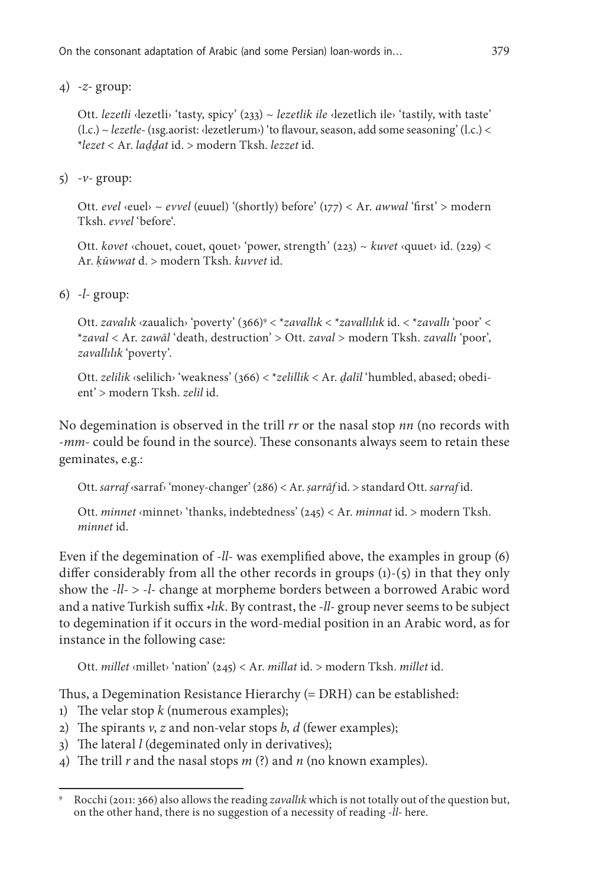4) *-z-* group:

Ott. *lezetli* ‹lezetli› 'tasty, spicy' (233) ~ *lezetlik ile* ‹lezetlich ile› 'tastily, with taste' (l.c.) ~ *lezetle-* (1sg.aorist: ‹lezetlerum›) 'to flavour, season, add some seasoning' (l.c.) < \**lezet* < Ar. *laḏḏat* id. > modern Tksh. *lezzet* id.

5) *-v-* group:

Ott. *evel* ‹euel› ~ *evvel* (euuel) '(shortly) before' (177) < Ar. *awwal* 'first' > modern Tksh. *evvel* 'before'.

Ott. *kovet* ‹chouet, couet, qouet› 'power, strength' (223) ~ *kuvet* ‹quuet› id. (229) < Ar. *ḳūwwat* d. > modern Tksh. *kuvvet* id.

6) *-l-* group:

Ott. *zavalık* ‹zaualich› 'poverty' (366)9 < \**zavallık* < \**zavallılık* id. < \**zavallı* 'poor' < \**zaval* < Ar. *zawāl* 'death, destruction' > Ott. *zaval* > modern Tksh. *zavallı* 'poor', *zavallılık* 'poverty'.

Ott. *zelilik* ‹selilich› 'weakness' (366) < \**zelillik* < Ar. *ḏalīl* 'humbled, abased; obedient' > modern Tksh. *zelil* id.

No degemination is observed in the trill *rr* or the nasal stop *nn* (no records with *-mm-* could be found in the source). These consonants always seem to retain these geminates, e.g.:

Ott. *sarraf* ‹sarraf› 'money-changer' (286) < Ar. *ṣarrāf* id. > standard Ott. *sarraf* id.

Ott. *minnet* ‹minnet› 'thanks, indebtedness' (245) < Ar. *minnat* id. > modern Tksh. *minnet* id.

Even if the degemination of *-ll-* was exemplified above, the examples in group (6) differ considerably from all the other records in groups  $(i)-(5)$  in that they only show the *-ll-* > *-l-* change at morpheme borders between a borrowed Arabic word and a native Turkish suffix *+lik*. By contrast, the *-ll-* group never seems to be subject to degemination if it occurs in the word-medial position in an Arabic word, as for instance in the following case:

Ott. *millet* ‹millet› 'nation' (245) < Ar. *millat* id. > modern Tksh. *millet* id.

Thus, a Degemination Resistance Hierarchy (= DRH) can be established:

- 1) The velar stop *k* (numerous examples);
- 2) The spirants *v*, *z* and non-velar stops *b*, *d* (fewer examples);
- 3) The lateral *l* (degeminated only in derivatives);
- 4) The trill *r* and the nasal stops *m* (?) and *n* (no known examples).

<sup>9</sup> Rocchi (2011: 366) also allows the reading *zavallık* which is not totally out of the question but, on the other hand, there is no suggestion of a necessity of reading *-ll-* here.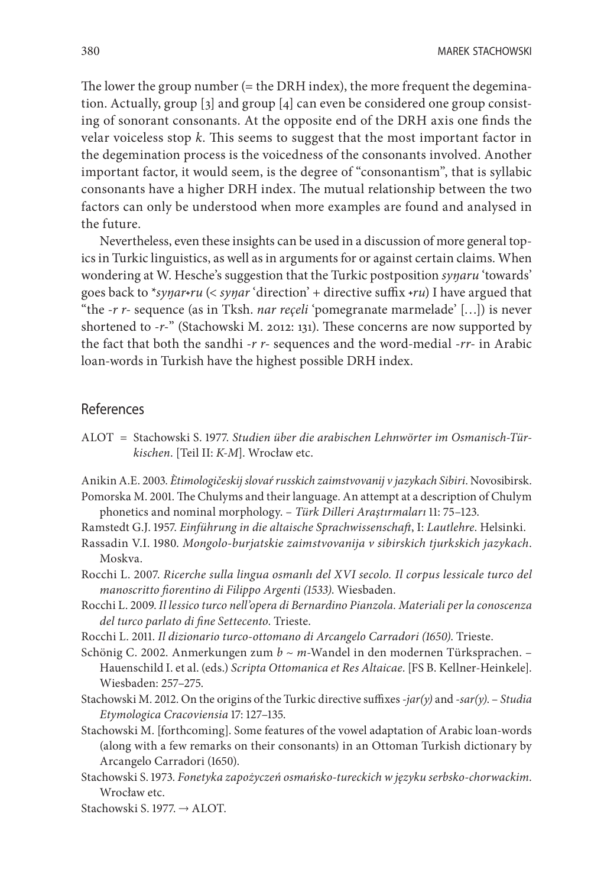The lower the group number (= the DRH index), the more frequent the degemination. Actually, group [3] and group [4] can even be considered one group consisting of sonorant consonants. At the opposite end of the DRH axis one finds the velar voiceless stop *k*. This seems to suggest that the most important factor in the degemination process is the voicedness of the consonants involved. Another important factor, it would seem, is the degree of "consonantism", that is syllabic consonants have a higher DRH index. The mutual relationship between the two factors can only be understood when more examples are found and analysed in the future.

Nevertheless, even these insights can be used in a discussion of more general topics in Turkic linguistics, as well as in arguments for or against certain claims. When wondering at W. Hesche's suggestion that the Turkic postposition *syŋaru* 'towards' goes back to \**syŋar˖ru* (< *syŋar* 'direction' + directive suffix *˖ru*) I have argued that "the *-r r-* sequence (as in Tksh. *nar reçeli* 'pomegranate marmelade' […]) is never shortened to *-r-*" (Stachowski M. 2012: 131). These concerns are now supported by the fact that both the sandhi *-r r-* sequences and the word-medial *-rr-* in Arabic loan-words in Turkish have the highest possible DRH index.

# References

ALOT = Stachowski S. 1977. *Studien über die arabischen Lehnwörter im Osmanisch-Türkischen*. [Teil II: *K-M*]. Wrocław etc.

Anikin A.E. 2003. *Ètimologičeskij slovaŕ russkich zaimstvovanij v jazykach Sibiri*. Novosibirsk.

- Pomorska M. 2001. The Chulyms and their language. An attempt at a description of Chulym phonetics and nominal morphology. – *Türk Dilleri Araştırmaları* 11: 75–123.
- Ramstedt G.J. 1957. *Einführung in die altaische Sprachwissenschaft*, I: *Lautlehre*. Helsinki.
- Rassadin V.I. 1980. *Mongolo-burjatskie zaimstvovanija v sibirskich tjurkskich jazykach*. Moskva.
- Rocchi L. 2007. *Ricerche sulla lingua osmanlı del XVI secolo. Il corpus lessicale turco del manoscritto fiorentino di Filippo Argenti (1533)*. Wiesbaden.
- Rocchi L. 2009. *Il lessico turco nell'opera di Bernardino Pianzola. Materiali per la conoscenza del turco parlato di fine Settecento*. Trieste.
- Rocchi L. 2011. *Il dizionario turco-ottomano di Arcangelo Carradori (1650)*. Trieste.
- Schönig C. 2002. Anmerkungen zum *b* ~ *m*-Wandel in den modernen Türksprachen. Hauenschild I. et al. (eds.) *Scripta Ottomanica et Res Altaicae*. [FS B. Kellner-Heinkele]. Wiesbaden: 257–275.
- Stachowski M. 2012. On the origins of the Turkic directive suffixes *-jar(y)* and *-sar(y)*. *Studia Etymologica Cracoviensia* 17: 127–135.
- Stachowski M. [forthcoming]. Some features of the vowel adaptation of Arabic loan-words (along with a few remarks on their consonants) in an Ottoman Turkish dictionary by Arcangelo Carradori (1650).
- Stachowski S. 1973. *Fonetyka zapożyczeń osmańsko-tureckich w języku serbsko-chorwackim*. Wrocław etc.
- Stachowski S. 1977. → ALOT.